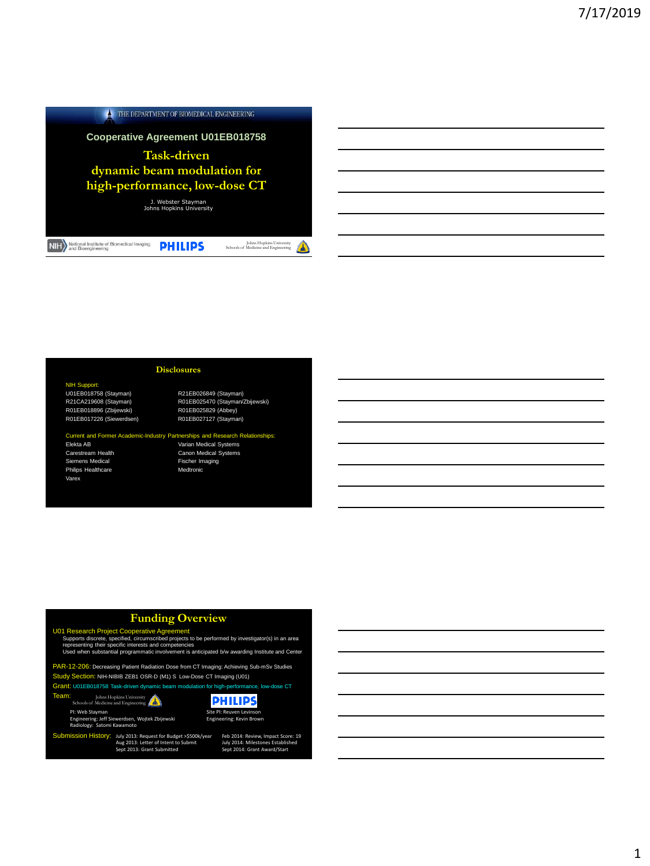### $\blacktriangle$  THE DEPARTMENT OF BIOMEDICAL ENGINEERING

**Cooperative Agreement U01EB018758**

**Task-driven dynamic beam modulation for high-performance, low-dose CT**

J. Webster Stayman Johns Hopkins University

NIH National Institute of Biomedical Imaging PHILIPS

Johns Hopkins University Schools of Medicine and Engineering

NIH Support:<br>U01EB018758 (Stayman) R21CA219608 (Stayman)<br>R01EB018896 (Zbijewski) R01EB017226 (Siewerdsen) R01EB027127 (Stayman)

R21EB026849 (Stayman) R01EB025470 (Stayman/Zbijewski)<br>R01EB025829 (Abbey)

### Current and Former Academic-Industry Partnerships and Research Relationships:

**Disclosures**

Siemens Medical Fischer Imaging Philips Healthcare Medtronic Varex

Elekta AB Varian Medical Systems Canon Medical Systems

## **Funding Overview**

U01 Research Project Cooperative Agreement<br>Supports discrete, specified, circumscribed projects to be performed by investigator(s) in an area<br>representing their specific interests and competencies<br>Used when substantial pro

PAR-12-206: Decreasing Patient Radiation Dose from CT Imaging: Achieving Sub-mSv Studies Study Section: NIH-NIBIB ZEB1 OSR-D (M1) S Low-Dose CT Imaging (U01)

Grant: U01EB018758 Task-driven dynamic beam modulation for high-performance, low-dose CT





Submission History: July 2013: Request for Budget >\$500k/year Aug 2013: Letter of Intent to Submit Sept 2013: Grant Submitted



**PHILIPS** 

July 2014: Milestones Established Sept 2014: Grant Award/Start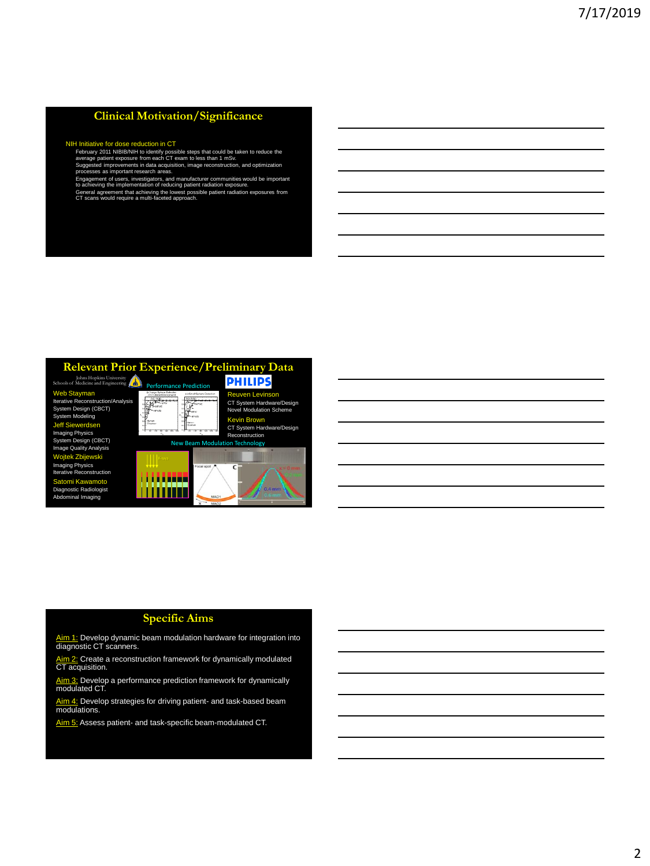# **Clinical Motivation/Significance**

NIH Initiative for dose reduction in CT February 2011 NIBIB/NIH to identify possible steps that could be taken to reduce the average patient exposure from each CT exam to less than 1 mSv. Suggested improvements in data acquisition, image reconstruction, and optimization processes as important research areas.

Engagement of users, investigators, and manufacturer communities would be important<br>to achieving the implementation of reducing patient radiation exposure.<br>General agreement that achieving the lowest possible patient radia

### **Relevant Prior Experience/Preliminary Data**



### **Specific Aims**

Aim 1: Develop dynamic beam modulation hardware for integration into diagnostic CT scanners.

<u>Aim 2:</u> Create a reconstruction framework for dynamically modulated<br>CT acquisition.

<u>Aim 3:</u> Develop a performance prediction framework for dynamically<br>modulated CT.

Aim 4: Develop strategies for driving patient- and task-based beam modulations.

Aim 5: Assess patient- and task-specific beam-modulated CT.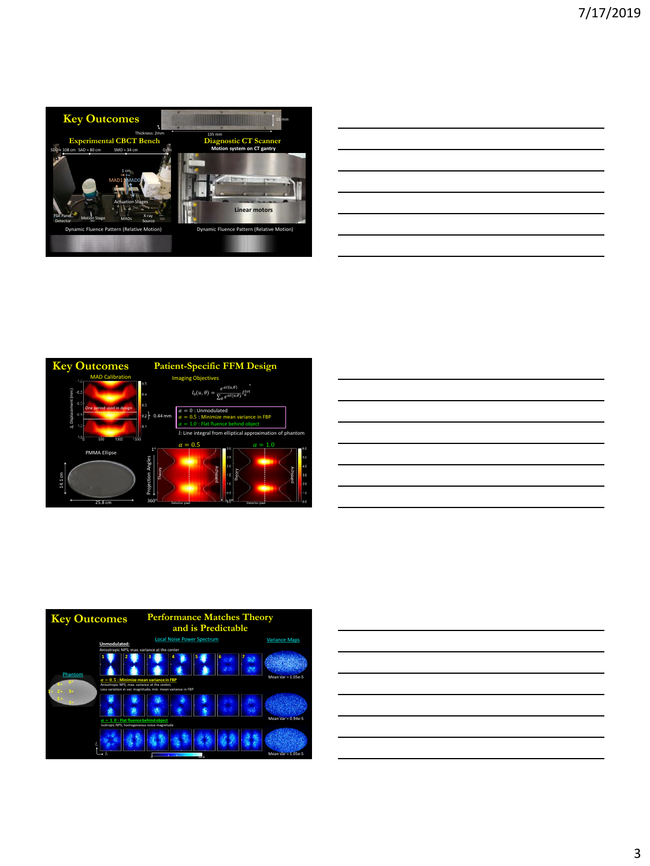

| <u> 1989 - Johann Stoff, deutscher Stoff, der Stoff, der Stoff, der Stoff, der Stoff, der Stoff, der Stoff, der S</u> |  |  |
|-----------------------------------------------------------------------------------------------------------------------|--|--|
|                                                                                                                       |  |  |
|                                                                                                                       |  |  |
| <u> 1989 - Johann Barn, amerikan bernama di sebagai bernama di sebagai bernama di sebagai bernama di sebagai ber</u>  |  |  |
| <u> 1989 - Johann Barbara, martxa alemaniar argametra (h. 1989).</u>                                                  |  |  |
|                                                                                                                       |  |  |
|                                                                                                                       |  |  |

Ĭ.

Ĭ.







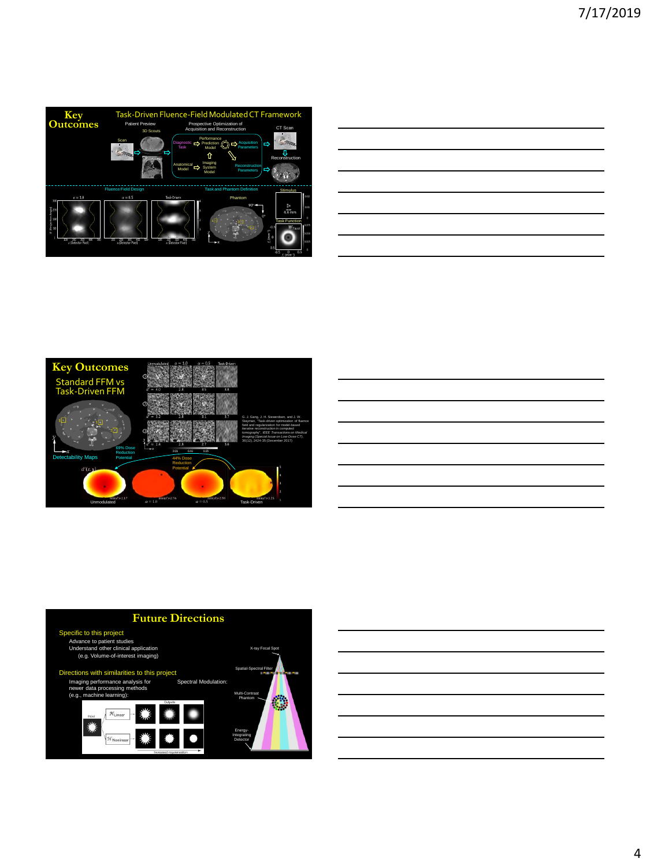